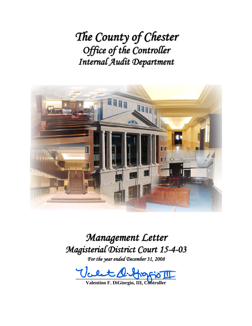*The County of Chester Office of the Controller Internal Audit Department*



*Management Letter Magisterial District Court 15-4-03*

*For the year ended December 31, 2008*

 $\psi$ cent distinguis III

**Valentino F. DiGiorgio, III, Controller**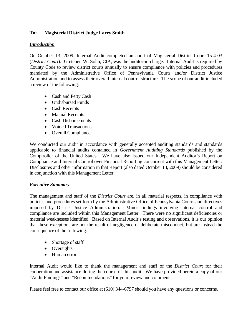## **To: Magisterial District Judge Larry Smith**

#### *Introduction*

On October 13, 2009, Internal Audit completed an audit of Magisterial District Court 15-4-03 (*District Court*). Gretchen W. Sohn, CIA, was the auditor-in-charge. Internal Audit is required by County Code to review district courts annually to ensure compliance with policies and procedures mandated by the Administrative Office of Pennsylvania Courts and/or District Justice Administration and to assess their overall internal control structure. The scope of our audit included a review of the following:

- Cash and Petty Cash
- Undisbursed Funds
- Cash Receipts
- Manual Receipts
- Cash Disbursements
- Voided Transactions
- Overall Compliance.

We conducted our audit in accordance with generally accepted auditing standards and standards applicable to financial audits contained in *Government Auditing Standards* published by the Comptroller of the United States. We have also issued our Independent Auditor's Report on Compliance and Internal Control over Financial Reporting concurrent with this Management Letter. Disclosures and other information in that Report (also dated October 13, 2009) should be considered in conjunction with this Management Letter.

## *Executive Summary*

The management and staff of the *District Court* are, in all material respects, in compliance with policies and procedures set forth by the Administrative Office of Pennsylvania Courts and directives imposed by District Justice Administration. Minor findings involving internal control and compliance are included within this Management Letter. There were no significant deficiencies or material weaknesses identified. Based on Internal Audit's testing and observations, it is our opinion that these exceptions are not the result of negligence or deliberate misconduct, but are instead the consequence of the following:

- Shortage of staff
- Oversights
- Human error.

Internal Audit would like to thank the management and staff of the *District Court* for their cooperation and assistance during the course of this audit. We have provided herein a copy of our "Audit Findings" and "Recommendations" for your review and comment.

Please feel free to contact our office at (610) 344-6797 should you have any questions or concerns.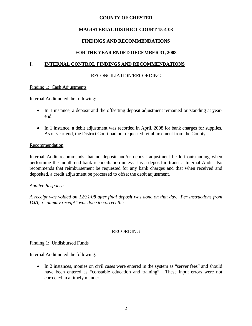## **MAGISTERIAL DISTRICT COURT 15-4-03**

## **FINDINGS AND RECOMMENDATIONS**

## **FOR THE YEAR ENDED DECEMBER 31, 2008**

## **I. INTERNAL CONTROL FINDINGS AND RECOMMENDATIONS**

### RECONCILIATION/RECORDING

### Finding 1: Cash Adjustments

Internal Audit noted the following:

- In 1 instance, a deposit and the offsetting deposit adjustment remained outstanding at yearend.
- In 1 instance, a debit adjustment was recorded in April, 2008 for bank charges for supplies. As of year-end, the District Court had not requested reimbursement from the County.

### Recommendation

Internal Audit recommends that no deposit and/or deposit adjustment be left outstanding when performing the month-end bank reconciliation unless it is a deposit-in-transit. Internal Audit also recommends that reimbursement be requested for any bank charges and that when received and deposited, a credit adjustment be processed to offset the debit adjustment.

#### *Auditee Response*

*A receipt was voided on 12/31/08 after final deposit was done on that day. Per instructions from DJA, a "dummy receipt" was done to correct this.* 

## RECORDING

#### Finding 1: Undisbursed Funds

Internal Audit noted the following:

• In 2 instances, monies on civil cases were entered in the system as "server fees" and should have been entered as "constable education and training". These input errors were not corrected in a timely manner.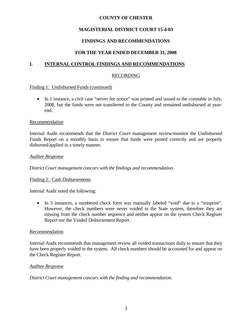## **MAGISTERIAL DISTRICT COURT 15-4-03**

## **FINDINGS AND RECOMMENDATIONS**

## **FOR THE YEAR ENDED DECEMBER 31, 2008**

## **I. INTERNAL CONTROL FINDINGS AND RECOMMENDATIONS**

### RECORDING

Finding 1: Undisbursed Funds (continued)

• In 1 instance, a civil case "server fee notice" was printed and issued to the constable in July, 2008, but the funds were not transferred to the County and remained undisbursed at yearend.

#### **Recommendation**

Internal Audit recommends that the *District Court* management review/monitor the Undisbursed Funds Report on a monthly basis to ensure that funds were posted correctly and are properly disbursed/applied in a timely manner.

### *Auditee Response*

*District Court management concurs with the findings and recommendation.* 

#### Finding 2: Cash Disbursements

Internal Audit noted the following:

• In 3 instances, a numbered check form was manually labeled "void" due to a "misprint". However, the check numbers were never voided in the State system, therefore they are missing from the check number sequence and neither appear on the system Check Register Report nor the Voided Disbursement Report.

#### Recommendation

Internal Audit recommends that management review all voided transactions daily to ensure that they have been properly voided in the system. All check numbers should be accounted for and appear on the Check Register Report.

#### *Auditee Response*

*District Court management concurs with the finding and recommendation.*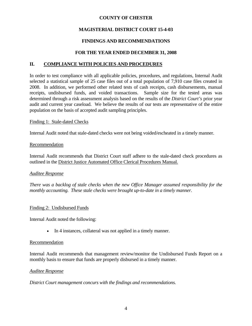## **MAGISTERIAL DISTRICT COURT 15-4-03**

## **FINDINGS AND RECOMMENDATIONS**

### **FOR THE YEAR ENDED DECEMBER 31, 2008**

### **II. COMPLIANCE WITH POLICIES AND PROCEDURES**

In order to test compliance with all applicable policies, procedures, and regulations, Internal Audit selected a statistical sample of 25 case files out of a total population of 7,910 case files created in 2008. In addition, we performed other related tests of cash receipts, cash disbursements, manual receipts, undisbursed funds, and voided transactions. Sample size for the tested areas was determined through a risk assessment analysis based on the results of the *District Court's* prior year audit and current year caseload. We believe the results of our tests are representative of the entire population on the basis of accepted audit sampling principles.

#### Finding 1: Stale-dated Checks

Internal Audit noted that stale-dated checks were not being voided/escheated in a timely manner.

#### Recommendation

Internal Audit recommends that District Court staff adhere to the stale-dated check procedures as outlined in the District Justice Automated Office Clerical Procedures Manual.

#### *Auditee Response*

*There was a backlog of stale checks when the new Office Manager assumed responsibility for the monthly accounting. These stale checks were brought up-to-date in a timely manner.* 

#### Finding 2: Undisbursed Funds

Internal Audit noted the following:

• In 4 instances, collateral was not applied in a timely manner.

#### **Recommendation**

Internal Audit recommends that management review/monitor the Undisbursed Funds Report on a monthly basis to ensure that funds are properly disbursed in a timely manner.

#### *Auditee Response*

*District Court management concurs with the findings and recommendations.*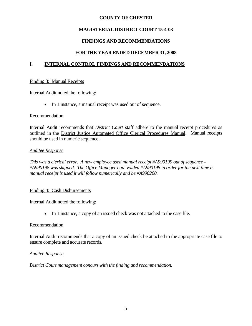## **MAGISTERIAL DISTRICT COURT 15-4-03**

## **FINDINGS AND RECOMMENDATIONS**

## **FOR THE YEAR ENDED DECEMBER 31, 2008**

## **I. INTERNAL CONTROL FINDINGS AND RECOMMENDATIONS**

#### Finding 3: Manual Receipts

Internal Audit noted the following:

In 1 instance, a manual receipt was used out of sequence.

#### Recommendation

Internal Audit recommends that *District Court* staff adhere to the manual receipt procedures as outlined in the District Justice Automated Office Clerical Procedures Manual. Manual receipts should be used in numeric sequence.

#### *Auditee Response*

*This was a clerical error. A new employee used manual receipt #A990199 out of sequence - #A990198 was skipped. The Office Manager had voided #A990198 in order for the next time a manual receipt is used it will follow numerically and be #A990200.* 

#### Finding 4: Cash Disbursements

Internal Audit noted the following:

In 1 instance, a copy of an issued check was not attached to the case file.

#### Recommendation

Internal Audit recommends that a copy of an issued check be attached to the appropriate case file to ensure complete and accurate records.

#### *Auditee Response*

*District Court management concurs with the finding and recommendation.*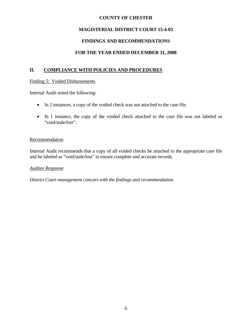## **MAGISTERIAL DISTRICT COURT 15-4-03**

## **FINDINGS AND RECOMMENDATIONS**

## **FOR THE YEAR ENDED DECEMBER 31, 2008**

## **II. COMPLIANCE WITH POLICIES AND PROCEDURES**

#### Finding 5: Voided Disbursements

Internal Audit noted the following:

- In 2 instances, a copy of the voided check was not attached to the case file.
- In 1 instance, the copy of the voided check attached to the case file was not labeled as "void/stale/lost".

### Recommendation

Internal Audit recommends that a copy of all voided checks be attached to the appropriate case file and be labeled as "void/stale/lost" to ensure complete and accurate records.

#### *Auditee Response*

*District Court management concurs with the findings and recommendation.*